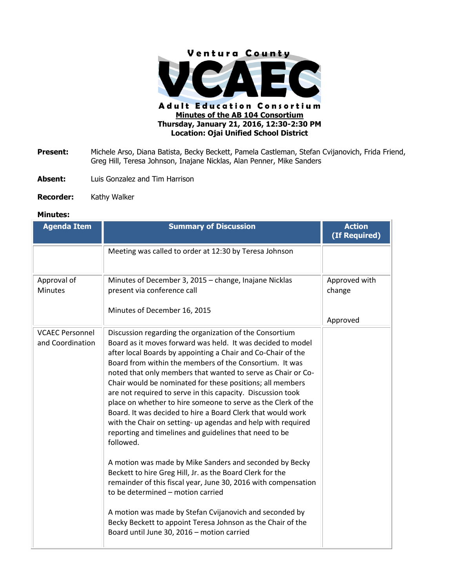

- **Present:** Michele Arso, Diana Batista, Becky Beckett, Pamela Castleman, Stefan Cvijanovich, Frida Friend, Greg Hill, Teresa Johnson, Inajane Nicklas, Alan Penner, Mike Sanders
- **Absent:** Luis Gonzalez and Tim Harrison
- **Recorder:** Kathy Walker

## **Minutes:**

| <b>Agenda Item</b>                         | <b>Summary of Discussion</b>                                                                                                                                                                                                                                                                                                                                                                                                                                                                                                                                                                                                                                                                                                                                                                                                                                                                                                                                                                                                                                                                                                | <b>Action</b><br>(If Required) |
|--------------------------------------------|-----------------------------------------------------------------------------------------------------------------------------------------------------------------------------------------------------------------------------------------------------------------------------------------------------------------------------------------------------------------------------------------------------------------------------------------------------------------------------------------------------------------------------------------------------------------------------------------------------------------------------------------------------------------------------------------------------------------------------------------------------------------------------------------------------------------------------------------------------------------------------------------------------------------------------------------------------------------------------------------------------------------------------------------------------------------------------------------------------------------------------|--------------------------------|
|                                            | Meeting was called to order at 12:30 by Teresa Johnson                                                                                                                                                                                                                                                                                                                                                                                                                                                                                                                                                                                                                                                                                                                                                                                                                                                                                                                                                                                                                                                                      |                                |
| Approval of<br><b>Minutes</b>              | Minutes of December 3, 2015 - change, Inajane Nicklas<br>present via conference call                                                                                                                                                                                                                                                                                                                                                                                                                                                                                                                                                                                                                                                                                                                                                                                                                                                                                                                                                                                                                                        | Approved with<br>change        |
|                                            | Minutes of December 16, 2015                                                                                                                                                                                                                                                                                                                                                                                                                                                                                                                                                                                                                                                                                                                                                                                                                                                                                                                                                                                                                                                                                                | Approved                       |
| <b>VCAEC Personnel</b><br>and Coordination | Discussion regarding the organization of the Consortium<br>Board as it moves forward was held. It was decided to model<br>after local Boards by appointing a Chair and Co-Chair of the<br>Board from within the members of the Consortium. It was<br>noted that only members that wanted to serve as Chair or Co-<br>Chair would be nominated for these positions; all members<br>are not required to serve in this capacity. Discussion took<br>place on whether to hire someone to serve as the Clerk of the<br>Board. It was decided to hire a Board Clerk that would work<br>with the Chair on setting- up agendas and help with required<br>reporting and timelines and guidelines that need to be<br>followed.<br>A motion was made by Mike Sanders and seconded by Becky<br>Beckett to hire Greg Hill, Jr. as the Board Clerk for the<br>remainder of this fiscal year, June 30, 2016 with compensation<br>to be determined - motion carried<br>A motion was made by Stefan Cvijanovich and seconded by<br>Becky Beckett to appoint Teresa Johnson as the Chair of the<br>Board until June 30, 2016 - motion carried |                                |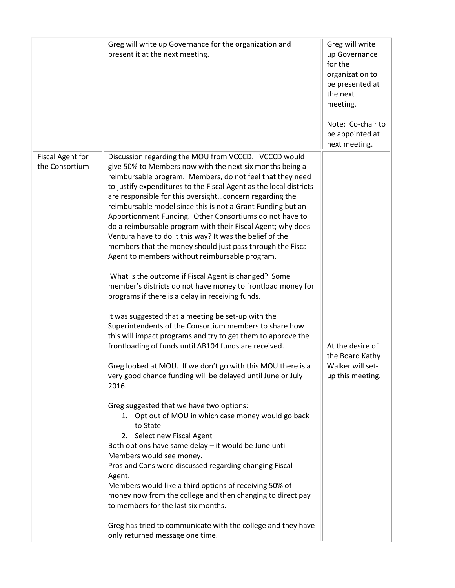|                                           | Greg will write up Governance for the organization and<br>present it at the next meeting.                                                                                                                                                                                                                                                                                                                                                                                                                                                                                                                                                                                                                                                                                                                                                                                                                                                                                                                                                                                                                                                                                                                                                                                                                                                                                                                                                                                                                                                                                                                                                                                                                                                                                                                              | Greg will write<br>up Governance<br>for the<br>organization to<br>be presented at<br>the next<br>meeting.<br>Note: Co-chair to<br>be appointed at<br>next meeting. |
|-------------------------------------------|------------------------------------------------------------------------------------------------------------------------------------------------------------------------------------------------------------------------------------------------------------------------------------------------------------------------------------------------------------------------------------------------------------------------------------------------------------------------------------------------------------------------------------------------------------------------------------------------------------------------------------------------------------------------------------------------------------------------------------------------------------------------------------------------------------------------------------------------------------------------------------------------------------------------------------------------------------------------------------------------------------------------------------------------------------------------------------------------------------------------------------------------------------------------------------------------------------------------------------------------------------------------------------------------------------------------------------------------------------------------------------------------------------------------------------------------------------------------------------------------------------------------------------------------------------------------------------------------------------------------------------------------------------------------------------------------------------------------------------------------------------------------------------------------------------------------|--------------------------------------------------------------------------------------------------------------------------------------------------------------------|
| <b>Fiscal Agent for</b><br>the Consortium | Discussion regarding the MOU from VCCCD. VCCCD would<br>give 50% to Members now with the next six months being a<br>reimbursable program. Members, do not feel that they need<br>to justify expenditures to the Fiscal Agent as the local districts<br>are responsible for this oversightconcern regarding the<br>reimbursable model since this is not a Grant Funding but an<br>Apportionment Funding. Other Consortiums do not have to<br>do a reimbursable program with their Fiscal Agent; why does<br>Ventura have to do it this way? It was the belief of the<br>members that the money should just pass through the Fiscal<br>Agent to members without reimbursable program.<br>What is the outcome if Fiscal Agent is changed? Some<br>member's districts do not have money to frontload money for<br>programs if there is a delay in receiving funds.<br>It was suggested that a meeting be set-up with the<br>Superintendents of the Consortium members to share how<br>this will impact programs and try to get them to approve the<br>frontloading of funds until AB104 funds are received.<br>Greg looked at MOU. If we don't go with this MOU there is a<br>very good chance funding will be delayed until June or July<br>2016.<br>Greg suggested that we have two options:<br>1. Opt out of MOU in which case money would go back<br>to State<br>2. Select new Fiscal Agent<br>Both options have same delay - it would be June until<br>Members would see money.<br>Pros and Cons were discussed regarding changing Fiscal<br>Agent.<br>Members would like a third options of receiving 50% of<br>money now from the college and then changing to direct pay<br>to members for the last six months.<br>Greg has tried to communicate with the college and they have<br>only returned message one time. | At the desire of<br>the Board Kathy<br>Walker will set-<br>up this meeting.                                                                                        |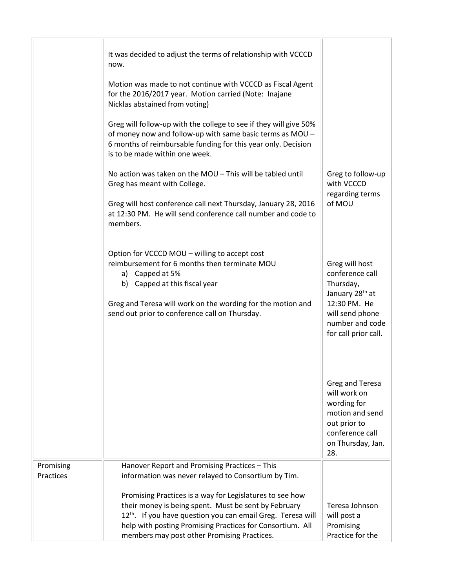|                        | It was decided to adjust the terms of relationship with VCCCD<br>now.                                                                                                                                                                                               |                                                                                                                                                             |
|------------------------|---------------------------------------------------------------------------------------------------------------------------------------------------------------------------------------------------------------------------------------------------------------------|-------------------------------------------------------------------------------------------------------------------------------------------------------------|
|                        | Motion was made to not continue with VCCCD as Fiscal Agent<br>for the 2016/2017 year. Motion carried (Note: Inajane<br>Nicklas abstained from voting)                                                                                                               |                                                                                                                                                             |
|                        | Greg will follow-up with the college to see if they will give 50%<br>of money now and follow-up with same basic terms as MOU -<br>6 months of reimbursable funding for this year only. Decision<br>is to be made within one week.                                   |                                                                                                                                                             |
|                        | No action was taken on the MOU - This will be tabled until<br>Greg has meant with College.                                                                                                                                                                          | Greg to follow-up<br>with VCCCD<br>regarding terms                                                                                                          |
|                        | Greg will host conference call next Thursday, January 28, 2016<br>at 12:30 PM. He will send conference call number and code to<br>members.                                                                                                                          | of MOU                                                                                                                                                      |
|                        | Option for VCCCD MOU - willing to accept cost<br>reimbursement for 6 months then terminate MOU<br>a) Capped at 5%<br>b) Capped at this fiscal year<br>Greg and Teresa will work on the wording for the motion and<br>send out prior to conference call on Thursday. | Greg will host<br>conference call<br>Thursday,<br>January 28 <sup>th</sup> at<br>12:30 PM. He<br>will send phone<br>number and code<br>for call prior call. |
|                        |                                                                                                                                                                                                                                                                     | Greg and Teresa<br>will work on<br>wording for<br>motion and send<br>out prior to<br>conference call<br>on Thursday, Jan.<br>28.                            |
| Promising<br>Practices | Hanover Report and Promising Practices - This<br>information was never relayed to Consortium by Tim.                                                                                                                                                                |                                                                                                                                                             |
|                        |                                                                                                                                                                                                                                                                     |                                                                                                                                                             |
|                        | Promising Practices is a way for Legislatures to see how                                                                                                                                                                                                            |                                                                                                                                                             |
|                        | their money is being spent. Must be sent by February<br>12 <sup>th</sup> . If you have question you can email Greg. Teresa will                                                                                                                                     | Teresa Johnson<br>will post a                                                                                                                               |
|                        | help with posting Promising Practices for Consortium. All<br>members may post other Promising Practices.                                                                                                                                                            | Promising<br>Practice for the                                                                                                                               |